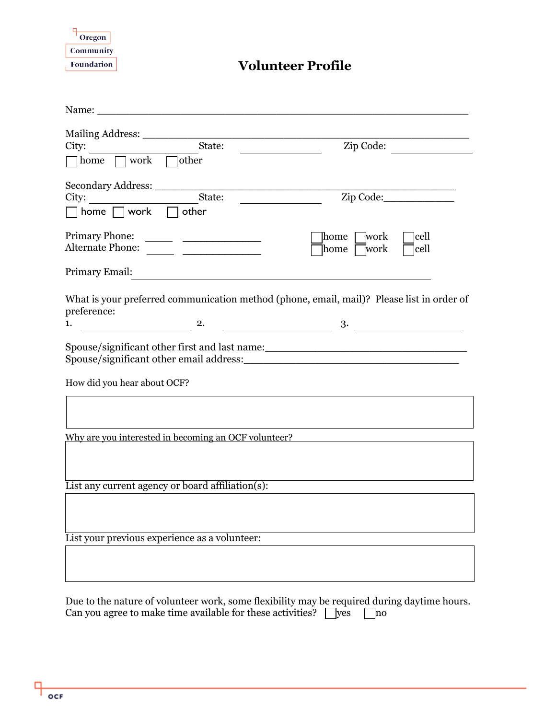Oregon Community Foundation

## **Volunteer Profile**

| Name: Name and the state of the state of the state of the state of the state of the state of the state of the state of the state of the state of the state of the state of the state of the state of the state of the state of                                       |                                         |
|----------------------------------------------------------------------------------------------------------------------------------------------------------------------------------------------------------------------------------------------------------------------|-----------------------------------------|
|                                                                                                                                                                                                                                                                      |                                         |
| State:<br>City:                                                                                                                                                                                                                                                      | Zip Code:                               |
| $\Box$ home $\Box$ work $\Box$ other                                                                                                                                                                                                                                 |                                         |
| Secondary Address:                                                                                                                                                                                                                                                   |                                         |
| State:<br>City:                                                                                                                                                                                                                                                      | Zip Code:                               |
| home $\Box$ work $\Box$ other                                                                                                                                                                                                                                        |                                         |
| <b>Primary Phone:</b>                                                                                                                                                                                                                                                | lcell<br>]work<br>home                  |
| Alternate Phone:                                                                                                                                                                                                                                                     | cell<br>]work<br>home                   |
| Primary Email:                                                                                                                                                                                                                                                       |                                         |
| What is your preferred communication method (phone, email, mail)? Please list in order of                                                                                                                                                                            |                                         |
| preference:<br>$\overline{\mathbf{a}}$<br>1.                                                                                                                                                                                                                         | $\begin{array}{c c} \hline \end{array}$ |
| Spouse/significant other first and last name:<br><u>examples</u> and the spouse of the spouse of the spouse of the spouse of the spouse of the spouse of the spouse of the spouse of the spouse of the spouse of the spouse of the sp<br>How did you hear about OCF? |                                         |
|                                                                                                                                                                                                                                                                      |                                         |
| Why are you interested in becoming an OCF volunteer?                                                                                                                                                                                                                 |                                         |
|                                                                                                                                                                                                                                                                      |                                         |
| List any current agency or board affiliation(s):                                                                                                                                                                                                                     |                                         |
|                                                                                                                                                                                                                                                                      |                                         |
| List your previous experience as a volunteer:                                                                                                                                                                                                                        |                                         |
|                                                                                                                                                                                                                                                                      |                                         |
| aama flarihilitu mar                                                                                                                                                                                                                                                 |                                         |

Due to the nature of volunteer work, some flexibility may be required during daytime hours. Can you agree to make time available for these activities?  $\Box$  yes  $\Box$  no

c